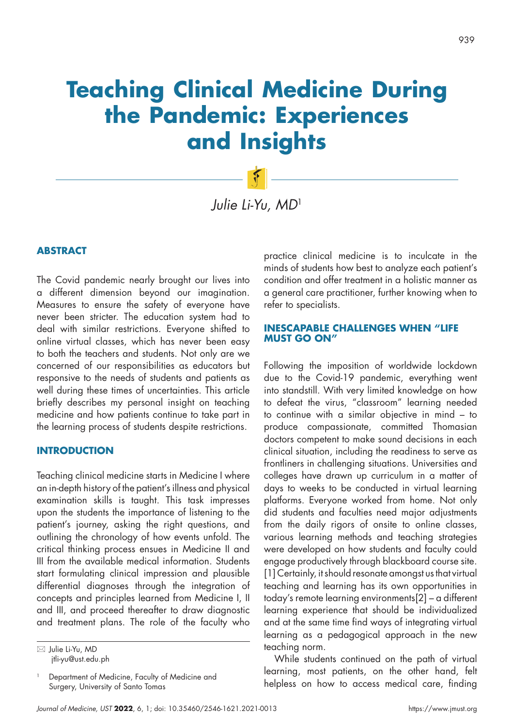# **Teaching Clinical Medicine During the Pandemic: Experiences and Insights**

*Julie Li-Yu, MD*<sup>1</sup>

# **ABSTRACT**

The Covid pandemic nearly brought our lives into a different dimension beyond our imagination. Measures to ensure the safety of everyone have never been stricter. The education system had to deal with similar restrictions. Everyone shifted to online virtual classes, which has never been easy to both the teachers and students. Not only are we concerned of our responsibilities as educators but responsive to the needs of students and patients as well during these times of uncertainties. This article briefly describes my personal insight on teaching medicine and how patients continue to take part in the learning process of students despite restrictions.

#### **INTRODUCTION**

Teaching clinical medicine starts in Medicine I where an in-depth history of the patient's illness and physical examination skills is taught. This task impresses upon the students the importance of listening to the patient's journey, asking the right questions, and outlining the chronology of how events unfold. The critical thinking process ensues in Medicine II and III from the available medical information. Students start formulating clinical impression and plausible differential diagnoses through the integration of concepts and principles learned from Medicine I, II and III, and proceed thereafter to draw diagnostic and treatment plans. The role of the faculty who

 Julie Li-Yu, MD jtli-yu@ust.edu.ph

Department of Medicine, Faculty of Medicine and Surgery, University of Santo Tomas

practice clinical medicine is to inculcate in the minds of students how best to analyze each patient's condition and offer treatment in a holistic manner as a general care practitioner, further knowing when to refer to specialists.

## **INESCAPABLE CHALLENGES WHEN "LIFE MUST GO ON"**

Following the imposition of worldwide lockdown due to the Covid-19 pandemic, everything went into standstill. With very limited knowledge on how to defeat the virus, "classroom" learning needed to continue with a similar objective in mind – to produce compassionate, committed Thomasian doctors competent to make sound decisions in each clinical situation, including the readiness to serve as frontliners in challenging situations. Universities and colleges have drawn up curriculum in a matter of days to weeks to be conducted in virtual learning platforms. Everyone worked from home. Not only did students and faculties need major adjustments from the daily rigors of onsite to online classes, various learning methods and teaching strategies were developed on how students and faculty could engage productively through blackboard course site. [1] Certainly, it should resonate amongst us that virtual teaching and learning has its own opportunities in today's remote learning environments[2] – a different learning experience that should be individualized and at the same time find ways of integrating virtual learning as a pedagogical approach in the new teaching norm.

While students continued on the path of virtual learning, most patients, on the other hand, felt helpless on how to access medical care, finding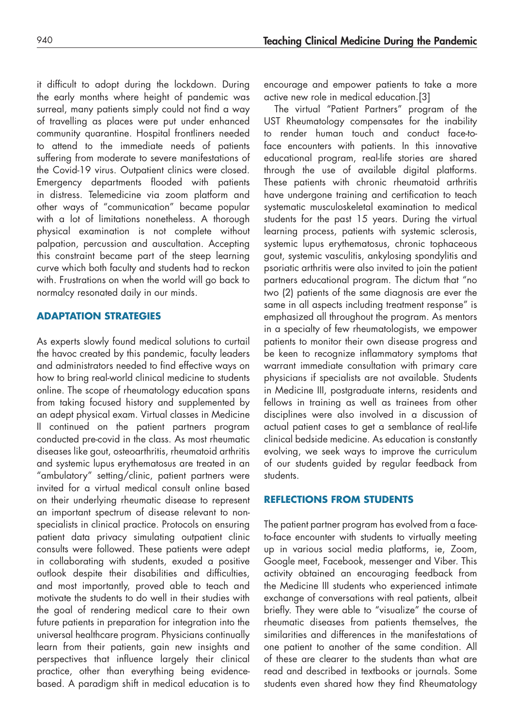it difficult to adopt during the lockdown. During the early months where height of pandemic was surreal, many patients simply could not find a way of travelling as places were put under enhanced community quarantine. Hospital frontliners needed to attend to the immediate needs of patients suffering from moderate to severe manifestations of the Covid-19 virus. Outpatient clinics were closed. Emergency departments flooded with patients in distress. Telemedicine via zoom platform and other ways of "communication" became popular with a lot of limitations nonetheless. A thorough physical examination is not complete without palpation, percussion and auscultation. Accepting this constraint became part of the steep learning curve which both faculty and students had to reckon with. Frustrations on when the world will go back to normalcy resonated daily in our minds.

## **ADAPTATION STRATEGIES**

As experts slowly found medical solutions to curtail the havoc created by this pandemic, faculty leaders and administrators needed to find effective ways on how to bring real-world clinical medicine to students online. The scope of rheumatology education spans from taking focused history and supplemented by an adept physical exam. Virtual classes in Medicine II continued on the patient partners program conducted pre-covid in the class. As most rheumatic diseases like gout, osteoarthritis, rheumatoid arthritis and systemic lupus erythematosus are treated in an "ambulatory" setting/clinic, patient partners were invited for a virtual medical consult online based on their underlying rheumatic disease to represent an important spectrum of disease relevant to nonspecialists in clinical practice. Protocols on ensuring patient data privacy simulating outpatient clinic consults were followed. These patients were adept in collaborating with students, exuded a positive outlook despite their disabilities and difficulties, and most importantly, proved able to teach and motivate the students to do well in their studies with the goal of rendering medical care to their own future patients in preparation for integration into the universal healthcare program. Physicians continually learn from their patients, gain new insights and perspectives that influence largely their clinical practice, other than everything being evidencebased. A paradigm shift in medical education is to encourage and empower patients to take a more active new role in medical education.[3]

The virtual "Patient Partners" program of the UST Rheumatology compensates for the inability to render human touch and conduct face-toface encounters with patients. In this innovative educational program, real-life stories are shared through the use of available digital platforms. These patients with chronic rheumatoid arthritis have undergone training and certification to teach systematic musculoskeletal examination to medical students for the past 15 years. During the virtual learning process, patients with systemic sclerosis, systemic lupus erythematosus, chronic tophaceous gout, systemic vasculitis, ankylosing spondylitis and psoriatic arthritis were also invited to join the patient partners educational program. The dictum that "no two (2) patients of the same diagnosis are ever the same in all aspects including treatment response" is emphasized all throughout the program. As mentors in a specialty of few rheumatologists, we empower patients to monitor their own disease progress and be keen to recognize inflammatory symptoms that warrant immediate consultation with primary care physicians if specialists are not available. Students in Medicine III, postgraduate interns, residents and fellows in training as well as trainees from other disciplines were also involved in a discussion of actual patient cases to get a semblance of real-life clinical bedside medicine. As education is constantly evolving, we seek ways to improve the curriculum of our students guided by regular feedback from students.

# **REFLECTIONS FROM STUDENTS**

The patient partner program has evolved from a faceto-face encounter with students to virtually meeting up in various social media platforms, ie, Zoom, Google meet, Facebook, messenger and Viber. This activity obtained an encouraging feedback from the Medicine III students who experienced intimate exchange of conversations with real patients, albeit briefly. They were able to "visualize" the course of rheumatic diseases from patients themselves, the similarities and differences in the manifestations of one patient to another of the same condition. All of these are clearer to the students than what are read and described in textbooks or journals. Some students even shared how they find Rheumatology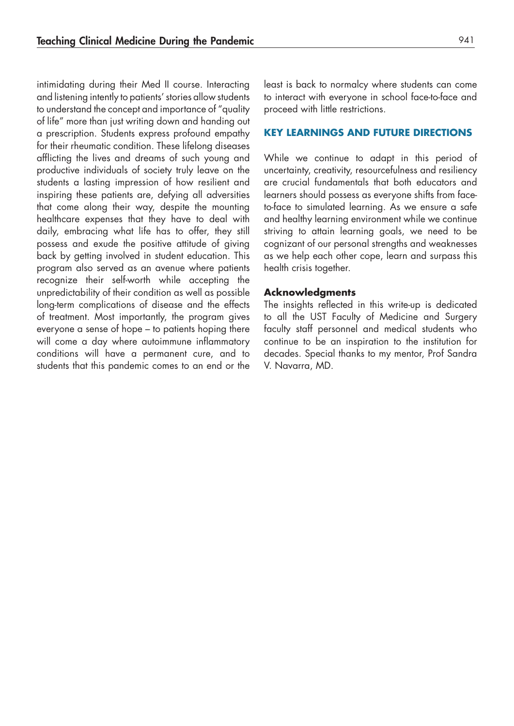intimidating during their Med II course. Interacting and listening intently to patients' stories allow students to understand the concept and importance of "quality of life" more than just writing down and handing out a prescription. Students express profound empathy for their rheumatic condition. These lifelong diseases afflicting the lives and dreams of such young and productive individuals of society truly leave on the students a lasting impression of how resilient and inspiring these patients are, defying all adversities that come along their way, despite the mounting healthcare expenses that they have to deal with daily, embracing what life has to offer, they still possess and exude the positive attitude of giving back by getting involved in student education. This program also served as an avenue where patients recognize their self-worth while accepting the unpredictability of their condition as well as possible long-term complications of disease and the effects of treatment. Most importantly, the program gives everyone a sense of hope – to patients hoping there will come a day where autoimmune inflammatory conditions will have a permanent cure, and to students that this pandemic comes to an end or the

least is back to normalcy where students can come to interact with everyone in school face-to-face and proceed with little restrictions.

#### **KEY LEARNINGS AND FUTURE DIRECTIONS**

While we continue to adapt in this period of uncertainty, creativity, resourcefulness and resiliency are crucial fundamentals that both educators and learners should possess as everyone shifts from faceto-face to simulated learning. As we ensure a safe and healthy learning environment while we continue striving to attain learning goals, we need to be cognizant of our personal strengths and weaknesses as we help each other cope, learn and surpass this health crisis together.

## **Acknowledgments**

The insights reflected in this write-up is dedicated to all the UST Faculty of Medicine and Surgery faculty staff personnel and medical students who continue to be an inspiration to the institution for decades. Special thanks to my mentor, Prof Sandra V. Navarra, MD.